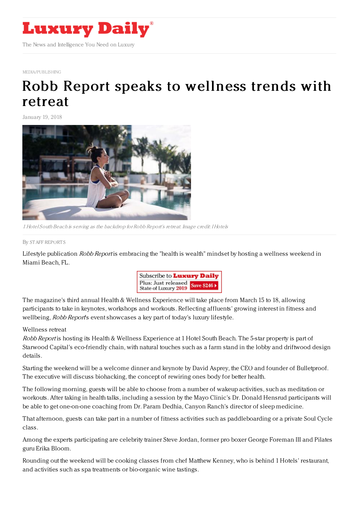

[MEDIA/PUBLISHING](https://www.luxurydaily.com/category/sectors/mediapublishing/)

## Robb Report speaks to [wellness](https://www.luxurydaily.com/robb-report-speaks-to-wellness-trends-with-retreat/) trends with retreat

January 19, 2018



1 Hotel South Beach is serving as the backdrop for Robb Report's retreat. Image credit: I Hotels

## By STAFF [REPORT](file:///author/staff-reports) S

Lifestyle publication Robb Report is embracing the "health is wealth" mindset by hosting a wellness weekend in Miami Beach, FL.



The magazine's third annual Health & Wellness Experience will take place from March 15 to 18, allowing participants to take in keynotes, workshops and workouts. Reflecting affluents' growing interest in fitness and wellbeing, *Robb Report's* event showcases a key part of today's luxury lifestyle.

## Wellness retreat

Robb Report is hosting its Health & Wellness Experience at 1 Hotel South Beach. The 5-star property is part of Starwood Capital's eco-friendly chain, with natural touches such as a farm stand in the lobby and driftwood design details.

Starting the weekend will be a welcome dinner and keynote by David Asprey, the CEO and founder of Bulletproof. The executive will discuss biohacking, the concept of rewiring ones body for better health.

The following morning, guests will be able to choose from a number of wakeup activities, such as meditation or workouts. After taking in health talks, including a session by the Mayo Clinic's Dr. Donald Hensrud participants will be able to get one-on-one coaching from Dr. Param Dedhia, Canyon Ranch's director of sleep medicine.

That afternoon, guests can take part in a number of fitness activities such as paddleboarding or a private Soul Cycle class.

Among the experts participating are celebrity trainer Steve Jordan, former pro boxer George Foreman III and Pilates guru Erika Bloom.

Rounding out the weekend will be cooking classes from chef Matthew Kenney, who is behind 1 Hotels' restaurant, and activities such as spa treatments or bio-organic wine tastings.